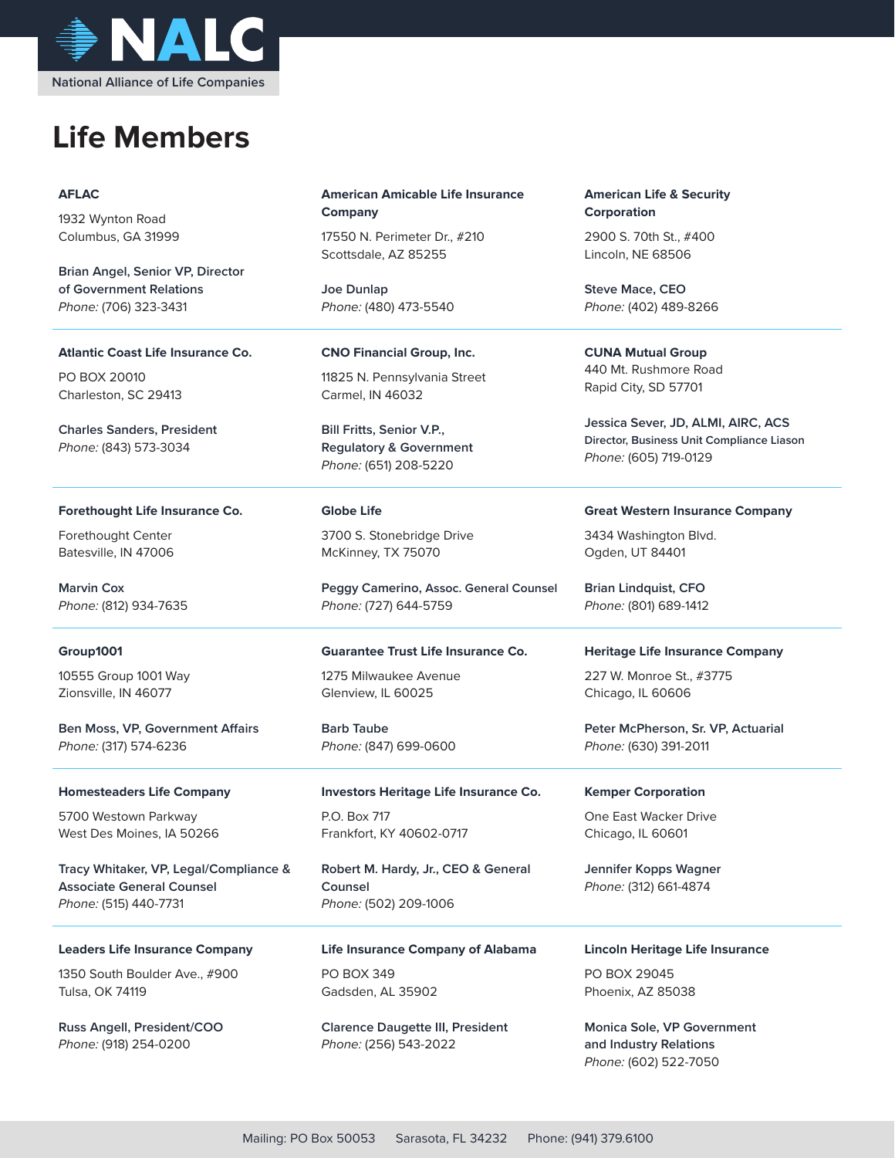

# **Life Members**

## **AFLAC**

1932 Wynton Road Columbus, GA 31999

**Brian Angel, Senior VP, Director of Government Relations** Phone: (706) 323-3431

**Atlantic Coast Life Insurance Co.**

PO BOX 20010 Charleston, SC 29413

**Charles Sanders, President** Phone: (843) 573-3034

## **Forethought Life Insurance Co.**

Forethought Center Batesville, IN 47006

**Marvin Cox** Phone: (812) 934-7635

## **Group1001**

10555 Group 1001 Way Zionsville, IN 46077

**Ben Moss, VP, Government Affairs** Phone: (317) 574-6236

#### **Homesteaders Life Company**

5700 Westown Parkway West Des Moines, IA 50266

**Tracy Whitaker, VP, Legal/Compliance & Associate General Counsel** Phone: (515) 440-7731

**Leaders Life Insurance Company**

1350 South Boulder Ave., #900 Tulsa, OK 74119

**Russ Angell, President/COO** Phone: (918) 254-0200

## **American Amicable Life Insurance Company**

17550 N. Perimeter Dr., #210 Scottsdale, AZ 85255

**Joe Dunlap** Phone: (480) 473-5540

**CNO Financial Group, Inc.**

11825 N. Pennsylvania Street Carmel, IN 46032

**Bill Fritts, Senior V.P., Regulatory & Government** Phone: (651) 208-5220

## **Globe Life**

3700 S. Stonebridge Drive McKinney, TX 75070

**Peggy Camerino, Assoc. General Counsel** Phone: (727) 644-5759

## **Guarantee Trust Life Insurance Co.**

1275 Milwaukee Avenue Glenview, IL 60025

**Barb Taube** Phone: (847) 699-0600

## **Investors Heritage Life Insurance Co.** P.O. Box 717 Frankfort, KY 40602-0717

**Robert M. Hardy, Jr., CEO & General Counsel** Phone: (502) 209-1006

**Life Insurance Company of Alabama** PO BOX 349 Gadsden, AL 35902

**Clarence Daugette III, President** Phone: (256) 543-2022

**American Life & Security Corporation**

2900 S. 70th St., #400 Lincoln, NE 68506

**Steve Mace, CEO** Phone: (402) 489-8266

**CUNA Mutual Group** 440 Mt. Rushmore Road Rapid City, SD 57701

**Jessica Sever, JD, ALMI, AIRC, ACS Director, Business Unit Compliance Liason** Phone: (605) 719-0129

#### **Great Western Insurance Company**

3434 Washington Blvd. Ogden, UT 84401

**Brian Lindquist, CFO** Phone: (801) 689-1412

#### **Heritage Life Insurance Company**

227 W. Monroe St., #3775 Chicago, IL 60606

**Peter McPherson, Sr. VP, Actuarial** Phone: (630) 391-2011

#### **Kemper Corporation**

One East Wacker Drive Chicago, IL 60601

**Jennifer Kopps Wagner** Phone: (312) 661-4874

## **Lincoln Heritage Life Insurance**

PO BOX 29045 Phoenix, AZ 85038

**Monica Sole, VP Government and Industry Relations** Phone: (602) 522-7050